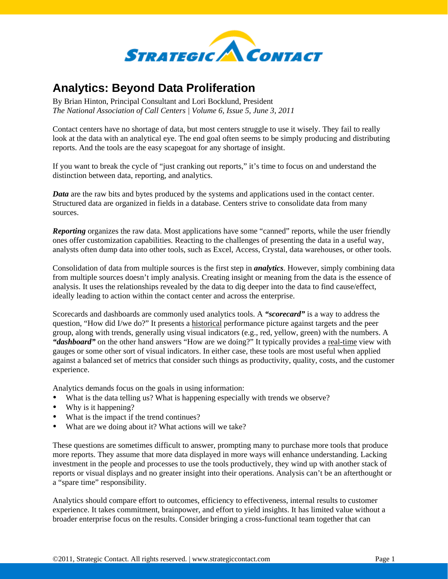

## **Analytics: Beyond Data Proliferation**

By Brian Hinton, Principal Consultant and Lori Bocklund, President *The National Association of Call Centers | Volume 6, Issue 5, June 3, 2011* 

Contact centers have no shortage of data, but most centers struggle to use it wisely. They fail to really look at the data with an analytical eye. The end goal often seems to be simply producing and distributing reports. And the tools are the easy scapegoat for any shortage of insight.

If you want to break the cycle of "just cranking out reports," it's time to focus on and understand the distinction between data, reporting, and analytics.

*Data* are the raw bits and bytes produced by the systems and applications used in the contact center. Structured data are organized in fields in a database. Centers strive to consolidate data from many sources.

*Reporting* organizes the raw data. Most applications have some "canned" reports, while the user friendly ones offer customization capabilities. Reacting to the challenges of presenting the data in a useful way, analysts often dump data into other tools, such as Excel, Access, Crystal, data warehouses, or other tools.

Consolidation of data from multiple sources is the first step in *analytics*. However, simply combining data from multiple sources doesn't imply analysis. Creating insight or meaning from the data is the essence of analysis. It uses the relationships revealed by the data to dig deeper into the data to find cause/effect, ideally leading to action within the contact center and across the enterprise.

Scorecards and dashboards are commonly used analytics tools. A *"scorecard"* is a way to address the question, "How did I/we do?" It presents a historical performance picture against targets and the peer group, along with trends, generally using visual indicators (e.g., red, yellow, green) with the numbers. A "dashboard" on the other hand answers "How are we doing?" It typically provides a real-time view with gauges or some other sort of visual indicators. In either case, these tools are most useful when applied against a balanced set of metrics that consider such things as productivity, quality, costs, and the customer experience.

Analytics demands focus on the goals in using information:

- What is the data telling us? What is happening especially with trends we observe?
- Why is it happening?
- What is the impact if the trend continues?
- What are we doing about it? What actions will we take?

These questions are sometimes difficult to answer, prompting many to purchase more tools that produce more reports. They assume that more data displayed in more ways will enhance understanding. Lacking investment in the people and processes to use the tools productively, they wind up with another stack of reports or visual displays and no greater insight into their operations. Analysis can't be an afterthought or a "spare time" responsibility.

Analytics should compare effort to outcomes, efficiency to effectiveness, internal results to customer experience. It takes commitment, brainpower, and effort to yield insights. It has limited value without a broader enterprise focus on the results. Consider bringing a cross-functional team together that can